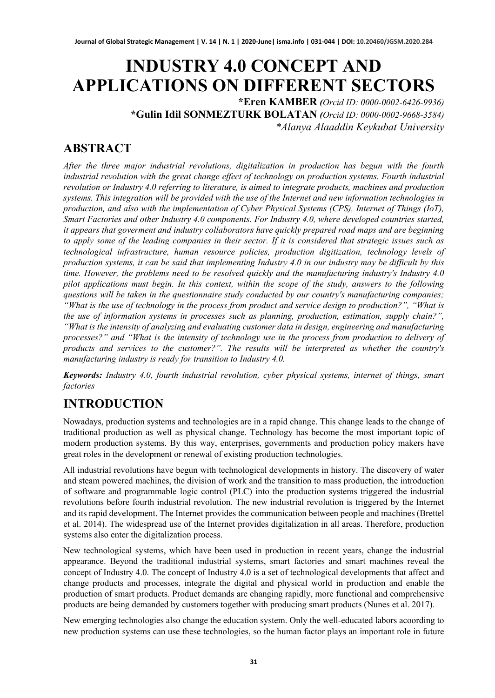# **INDUSTRY 4.0 CONCEPT AND APPLICATIONS ON DIFFERENT SECTORS**

**\*Eren KAMBER** *(Orcid ID: [0000-0002-6426-9936\)](https://orcid.org/0000-0002-6426-9936?lang=en)* **\*Gulin Idil SONMEZTURK BOLATAN** *(Orcid ID: 0000-0002-9668-3584) \*Alanya Alaaddin Keykubat University*

# **ABSTRACT**

*After the three major industrial revolutions, digitalization in production has begun with the fourth industrial revolution with the great change effect of technology on production systems. Fourth industrial revolution or Industry 4.0 referring to literature, is aimed to integrate products, machines and production systems. This integration will be provided with the use of the Internet and new information technologies in production, and also with the implementation of Cyber Physical Systems (CPS), Internet of Things (IoT), Smart Factories and other Industry 4.0 components. For Industry 4.0, where developed countries started, it appears that goverment and industry collaborators have quickly prepared road maps and are beginning to apply some of the leading companies in their sector. If it is considered that strategic issues such as technological infrastructure, human resource policies, production digitization, technology levels of production systems, it can be said that implementing Industry 4.0 in our industry may be difficult by this time. However, the problems need to be resolved quickly and the manufacturing industry's Industry 4.0 pilot applications must begin. In this context, within the scope of the study, answers to the following questions will be taken in the questionnaire study conducted by our country's manufacturing companies; "What is the use of technology in the process from product and service design to production?", "What is the use of information systems in processes such as planning, production, estimation, supply chain?", "What is the intensity of analyzing and evaluating customer data in design, engineering and manufacturing processes?" and "What is the intensity of technology use in the process from production to delivery of products and services to the customer?". The results will be interpreted as whether the country's manufacturing industry is ready for transition to Industry 4.0.*

*Keywords: Industry 4.0, fourth industrial revolution, cyber physical systems, internet of things, smart factories*

# **INTRODUCTION**

Nowadays, production systems and technologies are in a rapid change. This change leads to the change of traditional production as well as physical change. Technology has become the most important topic of modern production systems. By this way, enterprises, governments and production policy makers have great roles in the development or renewal of existing production technologies.

All industrial revolutions have begun with technological developments in history. The discovery of water and steam powered machines, the division of work and the transition to mass production, the introduction of software and programmable logic control (PLC) into the production systems triggered the industrial revolutions before fourth industrial revolution. The new industrial revolution is triggered by the Internet and its rapid development. The Internet provides the communication between people and machines (Brettel et al. 2014). The widespread use of the Internet provides digitalization in all areas. Therefore, production systems also enter the digitalization process.

New technological systems, which have been used in production in recent years, change the industrial appearance. Beyond the traditional industrial systems, smart factories and smart machines reveal the concept of Industry 4.0. The concept of Industry 4.0 is a set of technological developments that affect and change products and processes, integrate the digital and physical world in production and enable the production of smart products. Product demands are changing rapidly, more functional and comprehensive products are being demanded by customers together with producing smart products (Nunes et al. 2017).

New emerging technologies also change the education system. Only the well-educated labors acoording to new production systems can use these technologies, so the human factor plays an important role in future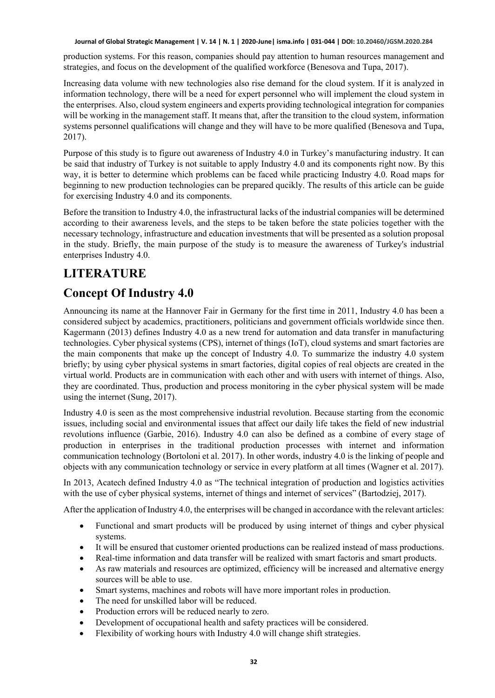production systems. For this reason, companies should pay attention to human resources management and strategies, and focus on the development of the qualified workforce (Benesova and Tupa, 2017).

Increasing data volume with new technologies also rise demand for the cloud system. If it is analyzed in information technology, there will be a need for expert personnel who will implement the cloud system in the enterprises. Also, cloud system engineers and experts providing technological integration for companies will be working in the management staff. It means that, after the transition to the cloud system, information systems personnel qualifications will change and they will have to be more qualified (Benesova and Tupa, 2017).

Purpose of this study is to figure out awareness of Industry 4.0 in Turkey's manufacturing industry. It can be said that industry of Turkey is not suitable to apply Industry 4.0 and its components right now. By this way, it is better to determine which problems can be faced while practicing Industry 4.0. Road maps for beginning to new production technologies can be prepared qucikly. The results of this article can be guide for exercising Industry 4.0 and its components.

Before the transition to Industry 4.0, the infrastructural lacks of the industrial companies will be determined according to their awareness levels, and the steps to be taken before the state policies together with the necessary technology, infrastructure and education investments that will be presented as a solution proposal in the study. Briefly, the main purpose of the study is to measure the awareness of Turkey's industrial enterprises Industry 4.0.

# **LITERATURE**

# **Concept Of Industry 4.0**

Announcing its name at the Hannover Fair in Germany for the first time in 2011, Industry 4.0 has been a considered subject by academics, practitioners, politicians and government officials worldwide since then. Kagermann (2013) defines Industry 4.0 as a new trend for automation and data transfer in manufacturing technologies. Cyber physical systems (CPS), internet of things (IoT), cloud systems and smart factories are the main components that make up the concept of Industry 4.0. To summarize the industry 4.0 system briefly; by using cyber physical systems in smart factories, digital copies of real objects are created in the virtual world. Products are in communication with each other and with users with internet of things. Also, they are coordinated. Thus, production and process monitoring in the cyber physical system will be made using the internet (Sung, 2017).

Industry 4.0 is seen as the most comprehensive industrial revolution. Because starting from the economic issues, including social and environmental issues that affect our daily life takes the field of new industrial revolutions influence (Garbie, 2016). Industry 4.0 can also be defined as a combine of every stage of production in enterprises in the traditional production processes with internet and information communication technology (Bortoloni et al. 2017). In other words, industry 4.0 is the linking of people and objects with any communication technology or service in every platform at all times (Wagner et al. 2017).

In 2013, Acatech defined Industry 4.0 as "The technical integration of production and logistics activities with the use of cyber physical systems, internet of things and internet of services" (Bartodziej, 2017).

After the application of Industry 4.0, the enterprises will be changed in accordance with the relevant articles:

- Functional and smart products will be produced by using internet of things and cyber physical systems.
- It will be ensured that customer oriented productions can be realized instead of mass productions.
- Real-time information and data transfer will be realized with smart factoris and smart products.
- As raw materials and resources are optimized, efficiency will be increased and alternative energy sources will be able to use.
- Smart systems, machines and robots will have more important roles in production.
- The need for unskilled labor will be reduced.
- Production errors will be reduced nearly to zero.
- Development of occupational health and safety practices will be considered.
- Flexibility of working hours with Industry 4.0 will change shift strategies.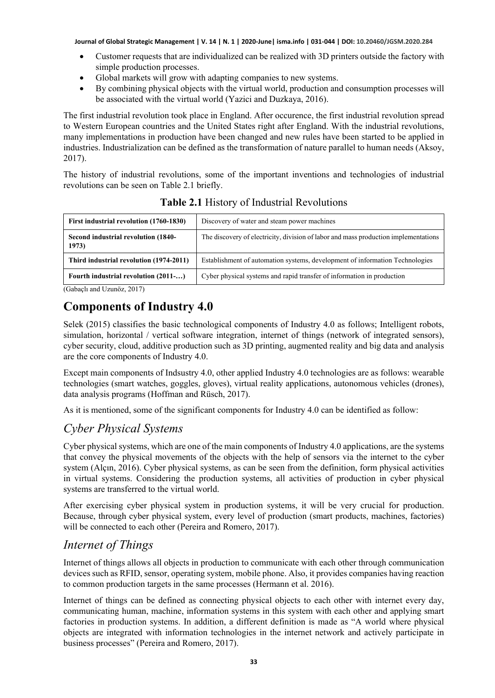- Customer requests that are individualized can be realized with 3D printers outside the factory with simple production processes.
- Global markets will grow with adapting companies to new systems.
- By combining physical objects with the virtual world, production and consumption processes will be associated with the virtual world (Yazici and Duzkaya, 2016).

The first industrial revolution took place in England. After occurence, the first industrial revolution spread to Western European countries and the United States right after England. With the industrial revolutions, many implementations in production have been changed and new rules have been started to be applied in industries. Industrialization can be defined as the transformation of nature parallel to human needs (Aksoy, 2017).

The history of industrial revolutions, some of the important inventions and technologies of industrial revolutions can be seen on Table 2.1 briefly.

| First industrial revolution (1760-1830)      | Discovery of water and steam power machines                                         |
|----------------------------------------------|-------------------------------------------------------------------------------------|
| Second industrial revolution (1840-<br>1973) | The discovery of electricity, division of labor and mass production implementations |
| Third industrial revolution (1974-2011)      | Establishment of automation systems, development of information Technologies        |
| Fourth industrial revolution (2011-)         | Cyber physical systems and rapid transfer of information in production              |

### **Table 2.1** History of Industrial Revolutions

(Gabaçlı and Uzunöz, 2017)

# **Components of Industry 4.0**

Selek (2015) classifies the basic technological components of Industry 4.0 as follows; Intelligent robots, simulation, horizontal / vertical software integration, internet of things (network of integrated sensors), cyber security, cloud, additive production such as 3D printing, augmented reality and big data and analysis are the core components of Industry 4.0.

Except main components of Indsustry 4.0, other applied Industry 4.0 technologies are as follows: wearable technologies (smart watches, goggles, gloves), virtual reality applications, autonomous vehicles (drones), data analysis programs (Hoffman and Rüsch, 2017).

As it is mentioned, some of the significant components for Industry 4.0 can be identified as follow:

# *Cyber Physical Systems*

Cyber physical systems, which are one of the main components of Industry 4.0 applications, are the systems that convey the physical movements of the objects with the help of sensors via the internet to the cyber system (Alçın, 2016). Cyber physical systems, as can be seen from the definition, form physical activities in virtual systems. Considering the production systems, all activities of production in cyber physical systems are transferred to the virtual world.

After exercising cyber physical system in production systems, it will be very crucial for production. Because, through cyber physical system, every level of production (smart products, machines, factories) will be connected to each other (Pereira and Romero, 2017).

### *Internet of Things*

Internet of things allows all objects in production to communicate with each other through communication devices such as RFID, sensor, operating system, mobile phone. Also, it provides companies having reaction to common production targets in the same processes (Hermann et al. 2016).

Internet of things can be defined as connecting physical objects to each other with internet every day, communicating human, machine, information systems in this system with each other and applying smart factories in production systems. In addition, a different definition is made as "A world where physical objects are integrated with information technologies in the internet network and actively participate in business processes" (Pereira and Romero, 2017).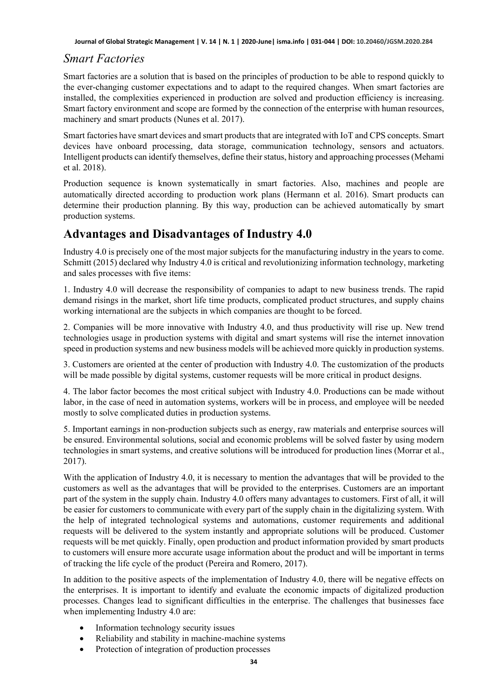### *Smart Factories*

Smart factories are a solution that is based on the principles of production to be able to respond quickly to the ever-changing customer expectations and to adapt to the required changes. When smart factories are installed, the complexities experienced in production are solved and production efficiency is increasing. Smart factory environment and scope are formed by the connection of the enterprise with human resources, machinery and smart products (Nunes et al. 2017).

Smart factories have smart devices and smart products that are integrated with IoT and CPS concepts. Smart devices have onboard processing, data storage, communication technology, sensors and actuators. Intelligent products can identify themselves, define their status, history and approaching processes (Mehami et al. 2018).

Production sequence is known systematically in smart factories. Also, machines and people are automatically directed according to production work plans (Hermann et al. 2016). Smart products can determine their production planning. By this way, production can be achieved automatically by smart production systems.

### **Advantages and Disadvantages of Industry 4.0**

Industry 4.0 is precisely one of the most major subjects for the manufacturing industry in the years to come. Schmitt (2015) declared why Industry 4.0 is critical and revolutionizing information technology, marketing and sales processes with five items:

1. Industry 4.0 will decrease the responsibility of companies to adapt to new business trends. The rapid demand risings in the market, short life time products, complicated product structures, and supply chains working international are the subjects in which companies are thought to be forced.

2. Companies will be more innovative with Industry 4.0, and thus productivity will rise up. New trend technologies usage in production systems with digital and smart systems will rise the internet innovation speed in production systems and new business models will be achieved more quickly in production systems.

3. Customers are oriented at the center of production with Industry 4.0. The customization of the products will be made possible by digital systems, customer requests will be more critical in product designs.

4. The labor factor becomes the most critical subject with Industry 4.0. Productions can be made without labor, in the case of need in automation systems, workers will be in process, and employee will be needed mostly to solve complicated duties in production systems.

5. Important earnings in non-production subjects such as energy, raw materials and enterprise sources will be ensured. Environmental solutions, social and economic problems will be solved faster by using modern technologies in smart systems, and creative solutions will be introduced for production lines (Morrar et al., 2017).

With the application of Industry 4.0, it is necessary to mention the advantages that will be provided to the customers as well as the advantages that will be provided to the enterprises. Customers are an important part of the system in the supply chain. Industry 4.0 offers many advantages to customers. First of all, it will be easier for customers to communicate with every part of the supply chain in the digitalizing system. With the help of integrated technological systems and automations, customer requirements and additional requests will be delivered to the system instantly and appropriate solutions will be produced. Customer requests will be met quickly. Finally, open production and product information provided by smart products to customers will ensure more accurate usage information about the product and will be important in terms of tracking the life cycle of the product (Pereira and Romero, 2017).

In addition to the positive aspects of the implementation of Industry 4.0, there will be negative effects on the enterprises. It is important to identify and evaluate the economic impacts of digitalized production processes. Changes lead to significant difficulties in the enterprise. The challenges that businesses face when implementing Industry 4.0 are:

- Information technology security issues
- Reliability and stability in machine-machine systems
- Protection of integration of production processes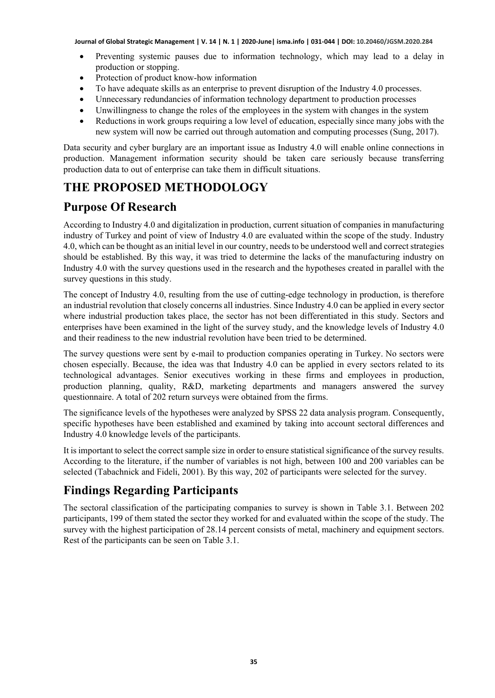- Preventing systemic pauses due to information technology, which may lead to a delay in production or stopping.
- Protection of product know-how information
- To have adequate skills as an enterprise to prevent disruption of the Industry 4.0 processes.
- Unnecessary redundancies of information technology department to production processes
- Unwillingness to change the roles of the employees in the system with changes in the system
- Reductions in work groups requiring a low level of education, especially since many jobs with the new system will now be carried out through automation and computing processes (Sung, 2017).

Data security and cyber burglary are an important issue as Industry 4.0 will enable online connections in production. Management information security should be taken care seriously because transferring production data to out of enterprise can take them in difficult situations.

# **THE PROPOSED METHODOLOGY**

# **Purpose Of Research**

According to Industry 4.0 and digitalization in production, current situation of companies in manufacturing industry of Turkey and point of view of Industry 4.0 are evaluated within the scope of the study. Industry 4.0, which can be thought as an initial level in our country, needs to be understood well and correct strategies should be established. By this way, it was tried to determine the lacks of the manufacturing industry on Industry 4.0 with the survey questions used in the research and the hypotheses created in parallel with the survey questions in this study.

The concept of Industry 4.0, resulting from the use of cutting-edge technology in production, is therefore an industrial revolution that closely concerns all industries. Since Industry 4.0 can be applied in every sector where industrial production takes place, the sector has not been differentiated in this study. Sectors and enterprises have been examined in the light of the survey study, and the knowledge levels of Industry 4.0 and their readiness to the new industrial revolution have been tried to be determined.

The survey questions were sent by e-mail to production companies operating in Turkey. No sectors were chosen especially. Because, the idea was that Industry 4.0 can be applied in every sectors related to its technological advantages. Senior executives working in these firms and employees in production, production planning, quality, R&D, marketing departments and managers answered the survey questionnaire. A total of 202 return surveys were obtained from the firms.

The significance levels of the hypotheses were analyzed by SPSS 22 data analysis program. Consequently, specific hypotheses have been established and examined by taking into account sectoral differences and Industry 4.0 knowledge levels of the participants.

It is important to select the correct sample size in order to ensure statistical significance of the survey results. According to the literature, if the number of variables is not high, between 100 and 200 variables can be selected (Tabachnick and Fideli, 2001). By this way, 202 of participants were selected for the survey.

# **Findings Regarding Participants**

The sectoral classification of the participating companies to survey is shown in Table 3.1. Between 202 participants, 199 of them stated the sector they worked for and evaluated within the scope of the study. The survey with the highest participation of 28.14 percent consists of metal, machinery and equipment sectors. Rest of the participants can be seen on Table 3.1.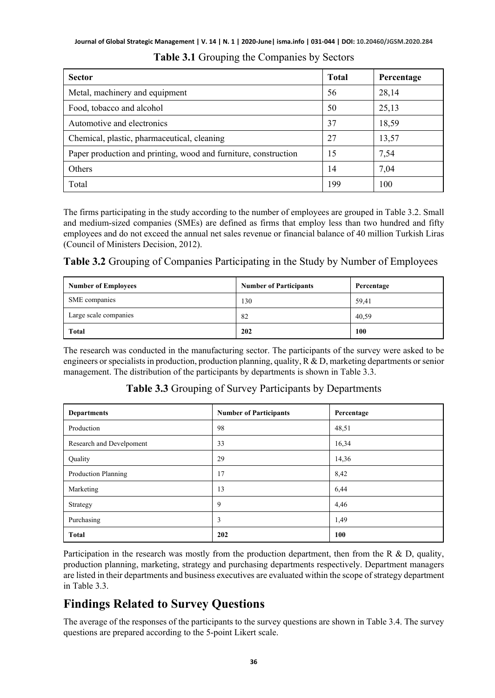| <b>Sector</b>                                                   | <b>Total</b> | Percentage |
|-----------------------------------------------------------------|--------------|------------|
| Metal, machinery and equipment                                  | 56           | 28,14      |
| Food, tobacco and alcohol                                       | 50           | 25,13      |
| Automotive and electronics                                      | 37           | 18,59      |
| Chemical, plastic, pharmaceutical, cleaning                     | 27           | 13,57      |
| Paper production and printing, wood and furniture, construction | 15           | 7,54       |
| Others                                                          | 14           | 7,04       |
| Total                                                           | 199          | 100        |

**Table 3.1** Grouping the Companies by Sectors

The firms participating in the study according to the number of employees are grouped in Table 3.2. Small and medium-sized companies (SMEs) are defined as firms that employ less than two hundred and fifty employees and do not exceed the annual net sales revenue or financial balance of 40 million Turkish Liras (Council of Ministers Decision, 2012).

**Table 3.2** Grouping of Companies Participating in the Study by Number of Employees

| <b>Number of Employees</b> | <b>Number of Participants</b> | Percentage |
|----------------------------|-------------------------------|------------|
| SME companies              | 130                           | 59,41      |
| Large scale companies      | 82                            | 40,59      |
| Total                      | 202                           | 100        |

The research was conducted in the manufacturing sector. The participants of the survey were asked to be engineers or specialists in production, production planning, quality,  $R \& D$ , marketing departments or senior management. The distribution of the participants by departments is shown in Table 3.3.

| <b>Departments</b>       | <b>Number of Participants</b> | Percentage |
|--------------------------|-------------------------------|------------|
| Production               | 98                            | 48,51      |
| Research and Develpoment | 33                            | 16,34      |
| Quality                  | 29                            | 14,36      |
| Production Planning      | 17                            | 8,42       |
| Marketing                | 13                            | 6,44       |
| Strategy                 | 9                             | 4,46       |
| Purchasing               | 3                             | 1,49       |
| <b>Total</b>             | 202                           | 100        |

**Table 3.3** Grouping of Survey Participants by Departments

Participation in the research was mostly from the production department, then from the R & D, quality, production planning, marketing, strategy and purchasing departments respectively. Department managers are listed in their departments and business executives are evaluated within the scope of strategy department in Table 3.3.

# **Findings Related to Survey Questions**

The average of the responses of the participants to the survey questions are shown in Table 3.4. The survey questions are prepared according to the 5-point Likert scale.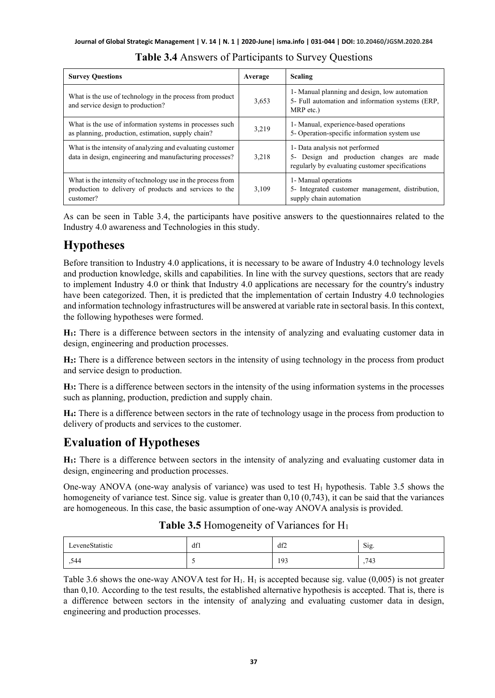| <b>Survey Questions</b>                                                                                                            | Average | <b>Scaling</b>                                                                                                                 |
|------------------------------------------------------------------------------------------------------------------------------------|---------|--------------------------------------------------------------------------------------------------------------------------------|
| What is the use of technology in the process from product<br>and service design to production?                                     | 3,653   | 1- Manual planning and design, low automation<br>5- Full automation and information systems (ERP,<br>MRP etc.)                 |
| What is the use of information systems in processes such<br>as planning, production, estimation, supply chain?                     | 3,219   | 1- Manual, experience-based operations<br>5- Operation-specific information system use                                         |
| What is the intensity of analyzing and evaluating customer<br>data in design, engineering and manufacturing processes?             | 3,218   | 1- Data analysis not performed<br>5- Design and production changes are made<br>regularly by evaluating customer specifications |
| What is the intensity of technology use in the process from<br>production to delivery of products and services to the<br>customer? | 3.109   | 1- Manual operations<br>5- Integrated customer management, distribution,<br>supply chain automation                            |

#### **Table 3.4** Answers of Participants to Survey Questions

As can be seen in Table 3.4, the participants have positive answers to the questionnaires related to the Industry 4.0 awareness and Technologies in this study.

### **Hypotheses**

Before transition to Industry 4.0 applications, it is necessary to be aware of Industry 4.0 technology levels and production knowledge, skills and capabilities. In line with the survey questions, sectors that are ready to implement Industry 4.0 or think that Industry 4.0 applications are necessary for the country's industry have been categorized. Then, it is predicted that the implementation of certain Industry 4.0 technologies and information technology infrastructures will be answered at variable rate in sectoral basis. In this context, the following hypotheses were formed.

**H1:** There is a difference between sectors in the intensity of analyzing and evaluating customer data in design, engineering and production processes.

**H2:** There is a difference between sectors in the intensity of using technology in the process from product and service design to production.

**H3:** There is a difference between sectors in the intensity of the using information systems in the processes such as planning, production, prediction and supply chain.

**H4:** There is a difference between sectors in the rate of technology usage in the process from production to delivery of products and services to the customer.

### **Evaluation of Hypotheses**

**H1:** There is a difference between sectors in the intensity of analyzing and evaluating customer data in design, engineering and production processes.

One-way ANOVA (one-way analysis of variance) was used to test  $H_1$  hypothesis. Table 3.5 shows the homogeneity of variance test. Since sig. value is greater than 0,10 (0,743), it can be said that the variances are homogeneous. In this case, the basic assumption of one-way ANOVA analysis is provided.

| LeveneStatistic | df1 | df2 | $\sim$<br>Sig. |
|-----------------|-----|-----|----------------|
| .544            |     | 193 | .743           |

#### **Table 3.5** Homogeneity of Variances for H1

Table 3.6 shows the one-way ANOVA test for  $H_1$ .  $H_1$  is accepted because sig. value (0,005) is not greater than 0,10. According to the test results, the established alternative hypothesis is accepted. That is, there is a difference between sectors in the intensity of analyzing and evaluating customer data in design, engineering and production processes.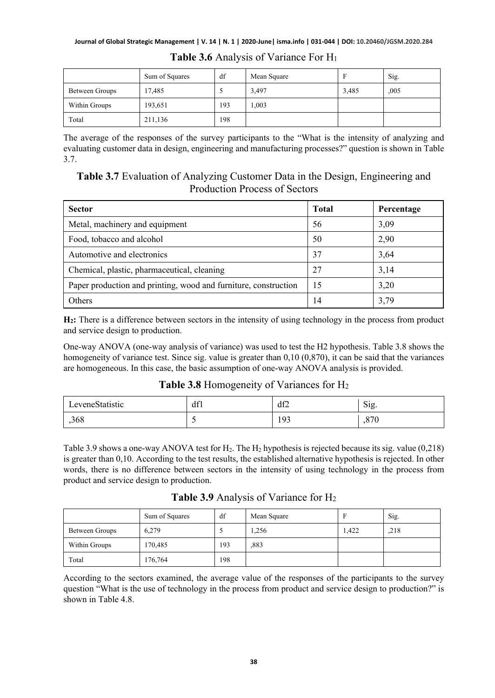|                | Sum of Squares | df  | Mean Square |       | Sig. |
|----------------|----------------|-----|-------------|-------|------|
| Between Groups | 17,485         |     | 3,497       | 3,485 | ,005 |
| Within Groups  | 193,651        | 193 | 1,003       |       |      |
| Total          | 211,136        | 198 |             |       |      |

**Table 3.6** Analysis of Variance For H1

The average of the responses of the survey participants to the "What is the intensity of analyzing and evaluating customer data in design, engineering and manufacturing processes?" question is shown in Table 3.7.

### **Table 3.7** Evaluation of Analyzing Customer Data in the Design, Engineering and Production Process of Sectors

| <b>Sector</b>                                                   | <b>Total</b> | Percentage |
|-----------------------------------------------------------------|--------------|------------|
| Metal, machinery and equipment                                  | 56           | 3,09       |
| Food, tobacco and alcohol                                       | 50           | 2,90       |
| Automotive and electronics                                      | 37           | 3,64       |
| Chemical, plastic, pharmaceutical, cleaning                     | 27           | 3,14       |
| Paper production and printing, wood and furniture, construction | 15           | 3,20       |
| Others                                                          | 14           | 3,79       |

**H2:** There is a difference between sectors in the intensity of using technology in the process from product and service design to production.

One-way ANOVA (one-way analysis of variance) was used to test the H2 hypothesis. Table 3.8 shows the homogeneity of variance test. Since sig. value is greater than 0,10 (0,870), it can be said that the variances are homogeneous. In this case, the basic assumption of one-way ANOVA analysis is provided.

| LeveneStatistic | df1 | df2 | $\sim$<br>$S_1g$ . |
|-----------------|-----|-----|--------------------|
| ,368            |     | 193 | ,870               |

**Table 3.8** Homogeneity of Variances for H2

Table 3.9 shows a one-way ANOVA test for  $H_2$ . The  $H_2$  hypothesis is rejected because its sig. value (0,218) is greater than 0,10. According to the test results, the established alternative hypothesis is rejected. In other words, there is no difference between sectors in the intensity of using technology in the process from product and service design to production.

**Table 3.9** Analysis of Variance for H2

|                | Sum of Squares | df  | Mean Square |       | Sig. |
|----------------|----------------|-----|-------------|-------|------|
| Between Groups | 6.279          |     | 1,256       | 1.422 | ,218 |
| Within Groups  | 170,485        | 193 | .883        |       |      |
| Total          | 176,764        | 198 |             |       |      |

According to the sectors examined, the average value of the responses of the participants to the survey question "What is the use of technology in the process from product and service design to production?" is shown in Table 4.8.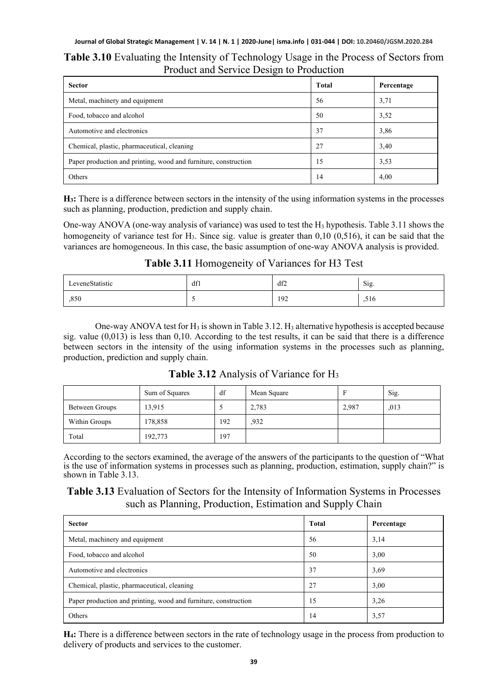#### **Table 3.10** Evaluating the Intensity of Technology Usage in the Process of Sectors from Product and Service Design to Production

| <b>Sector</b>                                                   | Total | Percentage |
|-----------------------------------------------------------------|-------|------------|
| Metal, machinery and equipment                                  | 56    | 3,71       |
| Food, tobacco and alcohol                                       | 50    | 3,52       |
| Automotive and electronics                                      | 37    | 3,86       |
| Chemical, plastic, pharmaceutical, cleaning                     | 27    | 3,40       |
| Paper production and printing, wood and furniture, construction | 15    | 3,53       |
| Others                                                          | 14    | 4,00       |

**H3:** There is a difference between sectors in the intensity of the using information systems in the processes such as planning, production, prediction and supply chain.

One-way ANOVA (one-way analysis of variance) was used to test the  $H_3$  hypothesis. Table 3.11 shows the homogeneity of variance test for  $H_3$ . Since sig. value is greater than 0,10 (0,516), it can be said that the variances are homogeneous. In this case, the basic assumption of one-way ANOVA analysis is provided.

#### **Table 3.11** Homogeneity of Variances for H3 Test

| LeveneStatistic | df1 | df2 | Sig. |
|-----------------|-----|-----|------|
| ,850            |     | 192 | .516 |

One-way ANOVA test for  $H_3$  is shown in Table 3.12.  $H_3$  alternative hypothesis is accepted because sig. value (0,013) is less than 0,10. According to the test results, it can be said that there is a difference between sectors in the intensity of the using information systems in the processes such as planning, production, prediction and supply chain.

|                | Sum of Squares | df  | Mean Square | Е     | Sig. |
|----------------|----------------|-----|-------------|-------|------|
| Between Groups | 13,915         |     | 2,783       | 2,987 | .013 |
| Within Groups  | 178,858        | 192 | .932        |       |      |
| Total          | 192,773        | 197 |             |       |      |

**Table 3.12** Analysis of Variance for H3

According to the sectors examined, the average of the answers of the participants to the question of "What is the use of information systems in processes such as planning, production, estimation, supply chain?" is shown in Table 3.13.

### **Table 3.13** Evaluation of Sectors for the Intensity of Information Systems in Processes such as Planning, Production, Estimation and Supply Chain

| <b>Sector</b>                                                   | Total | Percentage |
|-----------------------------------------------------------------|-------|------------|
| Metal, machinery and equipment                                  | 56    | 3,14       |
| Food, tobacco and alcohol                                       | 50    | 3,00       |
| Automotive and electronics                                      | 37    | 3.69       |
| Chemical, plastic, pharmaceutical, cleaning                     | 27    | 3,00       |
| Paper production and printing, wood and furniture, construction | 15    | 3,26       |
| Others                                                          | 14    | 3,57       |

**H4:** There is a difference between sectors in the rate of technology usage in the process from production to delivery of products and services to the customer.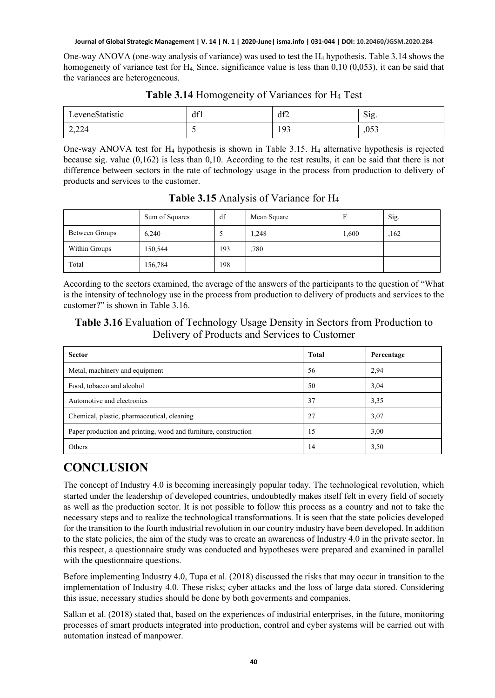One-way ANOVA (one-way analysis of variance) was used to test the H4 hypothesis. Table 3.14 shows the homogeneity of variance test for  $H_4$ . Since, significance value is less than 0,10 (0,053), it can be said that the variances are heterogeneous.

| LeveneStatistic | df1 | df2 | $\sim$<br>$S_1g$ . |
|-----------------|-----|-----|--------------------|
| 2,224           |     | 193 | ,053               |

#### **Table 3.14** Homogeneity of Variances for H4 Test

One-way ANOVA test for  $H_4$  hypothesis is shown in Table 3.15.  $H_4$  alternative hypothesis is rejected because sig. value (0,162) is less than 0,10. According to the test results, it can be said that there is not difference between sectors in the rate of technology usage in the process from production to delivery of products and services to the customer.

|                | Sum of Squares | df  | Mean Square | F     | Sig. |
|----------------|----------------|-----|-------------|-------|------|
| Between Groups | 6.240          |     | 1,248       | 1,600 | ,162 |
| Within Groups  | 150,544        | 193 | ,780        |       |      |
| Total          | 156,784        | 198 |             |       |      |

**Table 3.15** Analysis of Variance for H4

According to the sectors examined, the average of the answers of the participants to the question of "What is the intensity of technology use in the process from production to delivery of products and services to the customer?" is shown in Table 3.16.

### **Table 3.16** Evaluation of Technology Usage Density in Sectors from Production to Delivery of Products and Services to Customer

| <b>Sector</b>                                                   | <b>Total</b> | Percentage |
|-----------------------------------------------------------------|--------------|------------|
| Metal, machinery and equipment                                  | 56           | 2,94       |
| Food, tobacco and alcohol                                       | 50           | 3,04       |
| Automotive and electronics                                      | 37           | 3,35       |
| Chemical, plastic, pharmaceutical, cleaning                     | 27           | 3,07       |
| Paper production and printing, wood and furniture, construction | 15           | 3,00       |
| Others                                                          | 14           | 3,50       |

# **CONCLUSION**

The concept of Industry 4.0 is becoming increasingly popular today. The technological revolution, which started under the leadership of developed countries, undoubtedly makes itself felt in every field of society as well as the production sector. It is not possible to follow this process as a country and not to take the necessary steps and to realize the technological transformations. It is seen that the state policies developed for the transition to the fourth industrial revolution in our country industry have been developed. In addition to the state policies, the aim of the study was to create an awareness of Industry 4.0 in the private sector. In this respect, a questionnaire study was conducted and hypotheses were prepared and examined in parallel with the questionnaire questions.

Before implementing Industry 4.0, Tupa et al. (2018) discussed the risks that may occur in transition to the implementation of Industry 4.0. These risks; cyber attacks and the loss of large data stored. Considering this issue, necessary studies should be done by both goverments and companies.

Salkın et al. (2018) stated that, based on the experiences of industrial enterprises, in the future, monitoring processes of smart products integrated into production, control and cyber systems will be carried out with automation instead of manpower.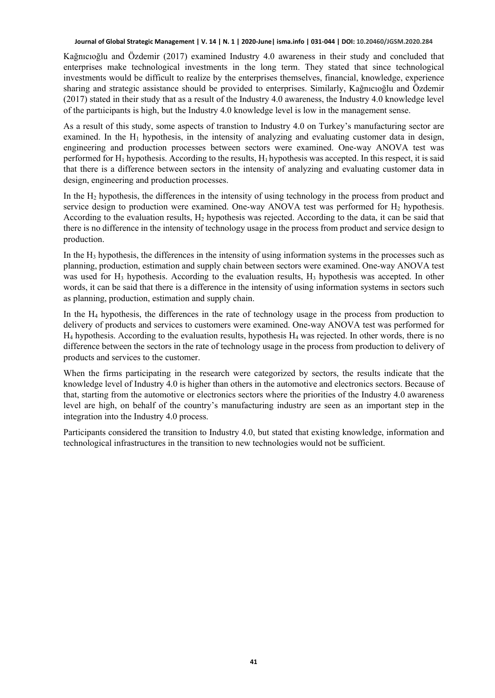Kağnıcıoğlu and Özdemir (2017) examined Industry 4.0 awareness in their study and concluded that enterprises make technological investments in the long term. They stated that since technological investments would be difficult to realize by the enterprises themselves, financial, knowledge, experience sharing and strategic assistance should be provided to enterprises. Similarly, Kağnıcıoğlu and Özdemir (2017) stated in their study that as a result of the Industry 4.0 awareness, the Industry 4.0 knowledge level of the partıicipants is high, but the Industry 4.0 knowledge level is low in the management sense.

As a result of this study, some aspects of transtion to Industry 4.0 on Turkey's manufacturing sector are examined. In the  $H_1$  hypothesis, in the intensity of analyzing and evaluating customer data in design, engineering and production processes between sectors were examined. One-way ANOVA test was performed for  $H_1$  hypothesis. According to the results,  $H_1$  hypothesis was accepted. In this respect, it is said that there is a difference between sectors in the intensity of analyzing and evaluating customer data in design, engineering and production processes.

In the H2 hypothesis, the differences in the intensity of using technology in the process from product and service design to production were examined. One-way ANOVA test was performed for  $H_2$  hypothesis. According to the evaluation results, H2 hypothesis was rejected. According to the data, it can be said that there is no difference in the intensity of technology usage in the process from product and service design to production.

In the  $H_3$  hypothesis, the differences in the intensity of using information systems in the processes such as planning, production, estimation and supply chain between sectors were examined. One-way ANOVA test was used for H<sub>3</sub> hypothesis. According to the evaluation results, H<sub>3</sub> hypothesis was accepted. In other words, it can be said that there is a difference in the intensity of using information systems in sectors such as planning, production, estimation and supply chain.

In the H4 hypothesis, the differences in the rate of technology usage in the process from production to delivery of products and services to customers were examined. One-way ANOVA test was performed for H4 hypothesis. According to the evaluation results, hypothesis H4 was rejected. In other words, there is no difference between the sectors in the rate of technology usage in the process from production to delivery of products and services to the customer.

When the firms participating in the research were categorized by sectors, the results indicate that the knowledge level of Industry 4.0 is higher than others in the automotive and electronics sectors. Because of that, starting from the automotive or electronics sectors where the priorities of the Industry 4.0 awareness level are high, on behalf of the country's manufacturing industry are seen as an important step in the integration into the Industry 4.0 process.

Participants considered the transition to Industry 4.0, but stated that existing knowledge, information and technological infrastructures in the transition to new technologies would not be sufficient.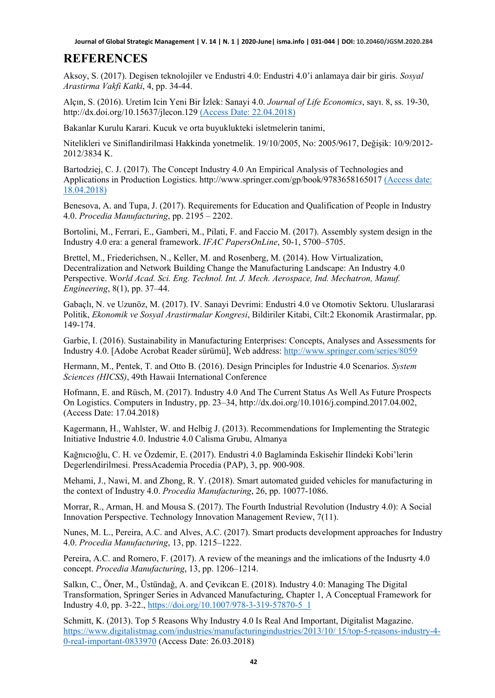## **REFERENCES**

Aksoy, S. (2017). Degisen teknolojiler ve Endustri 4.0: Endustri 4.0'i anlamaya dair bir giris. *Sosyal Arastirma Vakfi Katki*, 4, pp. 34-44.

Alçın, S. (2016). Uretim Icin Yeni Bir İzlek: Sanayi 4.0. *Journal of Life Economics*, sayı. 8, ss. 19-30, http://dx.doi.org/10.15637/jlecon.129 (Access Date: 22.04.2018)

Bakanlar Kurulu Karari. Kucuk ve orta buyuklukteki isletmelerin tanimi,

Nitelikleri ve Siniflandirilmasi Hakkinda yonetmelik. 19/10/2005, No: 2005/9617, Değişik: 10/9/2012- 2012/3834 K.

Bartodziej, C. J. (2017). The Concept Industry 4.0 An Empirical Analysis of Technologies and Applications in Production Logistics. http://www.springer.com/gp/book/9783658165017 (Access date: 18.04.2018)

Benesova, A. and Tupa, J. (2017). Requirements for Education and Qualification of People in Industry 4.0. *Procedia Manufacturing*, pp. 2195 – 2202.

Bortolini, M., Ferrari, E., Gamberi, M., Pilati, F. and Faccio M. (2017). Assembly system design in the Industry 4.0 era: a general framework. *IFAC PapersOnLine*, 50-1, 5700–5705.

Brettel, M., Friederichsen, N., Keller, M. and Rosenberg, M. (2014). How Virtualization, Decentralization and Network Building Change the Manufacturing Landscape: An Industry 4.0 Perspective. Wo*rld Acad. Sci. Eng. Technol. Int. J. Mech. Aerospace, Ind. Mechatron, Manuf. Engineering*, 8(1), pp. 37–44.

Gabaçlı, N. ve Uzunöz, M. (2017). IV. Sanayi Devrimi: Endustri 4.0 ve Otomotiv Sektoru. Uluslararasi Politik, *Ekonomik ve Sosyal Arastirmalar Kongresi*, Bildiriler Kitabi, Cilt:2 Ekonomik Arastirmalar, pp. 149-174.

Garbie, I. (2016). Sustainability in Manufacturing Enterprises: Concepts, Analyses and Assessments for Industry 4.0. [Adobe Acrobat Reader sürümü], Web address:<http://www.springer.com/series/8059>

Hermann, M., Pentek, T. and Otto B. (2016). Design Principles for Industrie 4.0 Scenarios. *System Sciences (HICSS)*, 49th Hawaii International Conference

Hofmann, E. and Rüsch, M. (2017). Industry 4.0 And The Current Status As Well As Future Prospects On Logistics. Computers in Industry, pp. 23–34, http://dx.doi.org/10.1016/j.compind.2017.04.002, (Access Date: 17.04.2018)

Kagermann, H., Wahlster, W. and Helbig J. (2013). Recommendations for Implementing the Strategic Initiative Industrie 4.0. Industrie 4.0 Calisma Grubu, Almanya

Kağnıcıoğlu, C. H. ve Özdemir, E. (2017). Endustri 4.0 Baglaminda Eskisehir Ilindeki Kobi'lerin Degerlendirilmesi. PressAcademia Procedia (PAP), 3, pp. 900-908.

Mehami, J., Nawi, M. and Zhong, R. Y. (2018). Smart automated guided vehicles for manufacturing in the context of Industry 4.0. *Procedia Manufacturing*, 26, pp. 10077-1086.

Morrar, R., Arman, H. and Mousa S. (2017). The Fourth Industrial Revolution (Industry 4.0): A Social Innovation Perspective. Technology Innovation Management Review, 7(11).

Nunes, M. L., Pereira, A.C. and Alves, A.C. (2017). Smart products development approaches for Industry 4.0. *Procedia Manufacturing*, 13, pp. 1215–1222.

Pereira, A.C. and Romero, F. (2017). A review of the meanings and the imlications of the Indusrty 4.0 concept. *Procedia Manufacturing*, 13, pp. 1206–1214.

Salkın, C., Öner, M., Üstündağ, A. and Çevikcan E. (2018). Industry 4.0: Managing The Digital Transformation, Springer Series in Advanced Manufacturing, Chapter 1, A Conceptual Framework for Industry 4.0, pp. 3-22., [https://doi.org/10.1007/978-3-319-57870-5\\_1](https://doi.org/10.1007/978-3-319-57870-5_1)

Schmitt, K. (2013). Top 5 Reasons Why Industry 4.0 Is Real And Important, Digitalist Magazine. [https://www.digitalistmag.com/industries/manufacturingindustries/2013/10/ 15/top-5-reasons-industry-4-](https://www.digitalistmag.com/industries/manufacturingindustries/2013/10/%2015/top-5-reasons-industry-4-0-real-important-0833970) [0-real-important-0833970](https://www.digitalistmag.com/industries/manufacturingindustries/2013/10/%2015/top-5-reasons-industry-4-0-real-important-0833970) (Access Date: 26.03.2018)